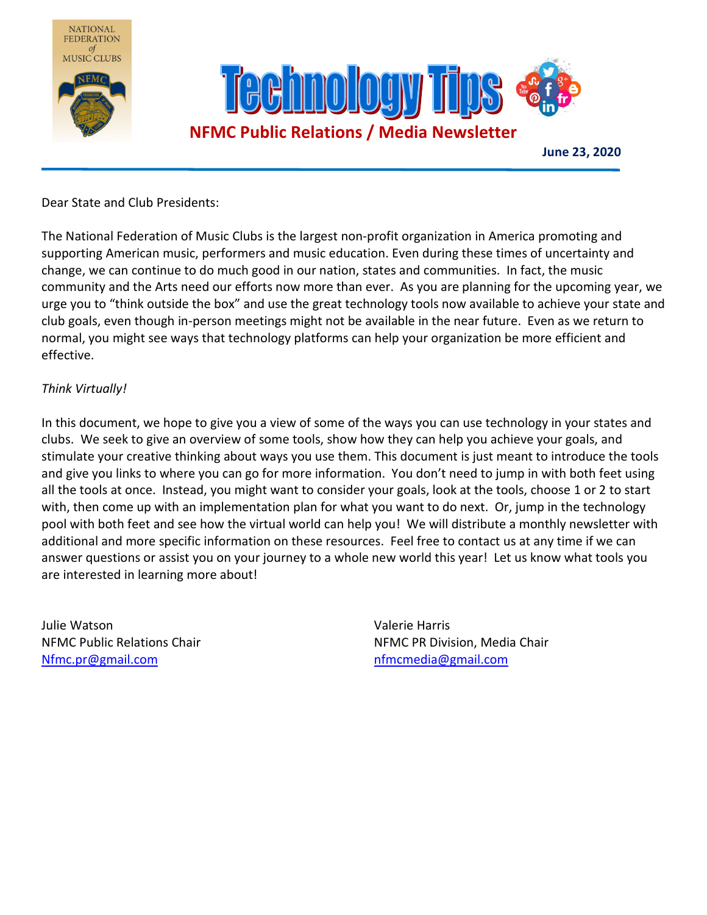

Dear State and Club Presidents:

The National Federation of Music Clubs is the largest non-profit organization in America promoting and supporting American music, performers and music education. Even during these times of uncertainty and change, we can continue to do much good in our nation, states and communities. In fact, the music community and the Arts need our efforts now more than ever. As you are planning for the upcoming year, we urge you to "think outside the box" and use the great technology tools now available to achieve your state and club goals, even though in-person meetings might not be available in the near future. Even as we return to normal, you might see ways that technology platforms can help your organization be more efficient and effective.

#### *Think Virtually!*

In this document, we hope to give you a view of some of the ways you can use technology in your states and clubs. We seek to give an overview of some tools, show how they can help you achieve your goals, and stimulate your creative thinking about ways you use them. This document is just meant to introduce the tools and give you links to where you can go for more information. You don't need to jump in with both feet using all the tools at once. Instead, you might want to consider your goals, look at the tools, choose 1 or 2 to start with, then come up with an implementation plan for what you want to do next. Or, jump in the technology pool with both feet and see how the virtual world can help you! We will distribute a monthly newsletter with additional and more specific information on these resources. Feel free to contact us at any time if we can answer questions or assist you on your journey to a whole new world this year! Let us know what tools you are interested in learning more about!

Julie Watson Valerie Harris Nfmc.pr@gmail.com and a metal of the new state of the new state of the new state of the new state of the new state of the new state of the new state of the new state of the new state of the new state of the new state of th

NFMC Public Relations Chair New York NFMC PR Division, Media Chair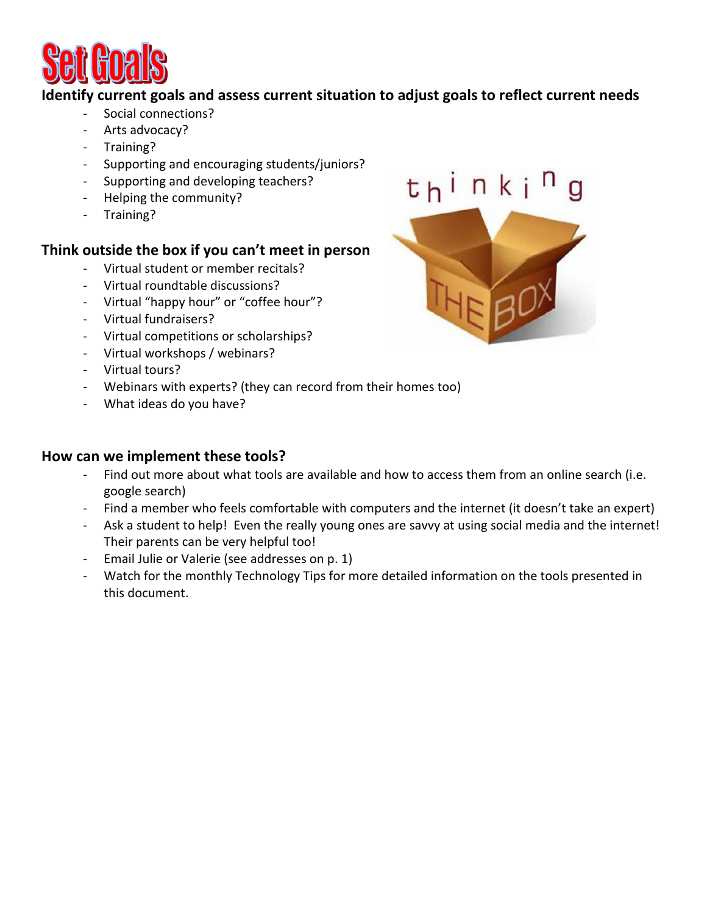

## **Identify current goals and assess current situation to adjust goals to reflect current needs**

- Social connections?
- Arts advocacy?
- Training?
- Supporting and encouraging students/juniors?
- Supporting and developing teachers?
- Helping the community?
- Training?

## **Think outside the box if you can't meet in person**

- Virtual student or member recitals?
- Virtual roundtable discussions?
- Virtual "happy hour" or "coffee hour"?
- Virtual fundraisers?
- Virtual competitions or scholarships?
- Virtual workshops / webinars?
- Virtual tours?
- Webinars with experts? (they can record from their homes too)
- What ideas do you have?

## **How can we implement these tools?**

- Find out more about what tools are available and how to access them from an online search (i.e. google search)
- Find a member who feels comfortable with computers and the internet (it doesn't take an expert)
- Ask a student to help! Even the really young ones are savvy at using social media and the internet! Their parents can be very helpful too!
- Email Julie or Valerie (see addresses on p. 1)
- Watch for the monthly Technology Tips for more detailed information on the tools presented in this document.

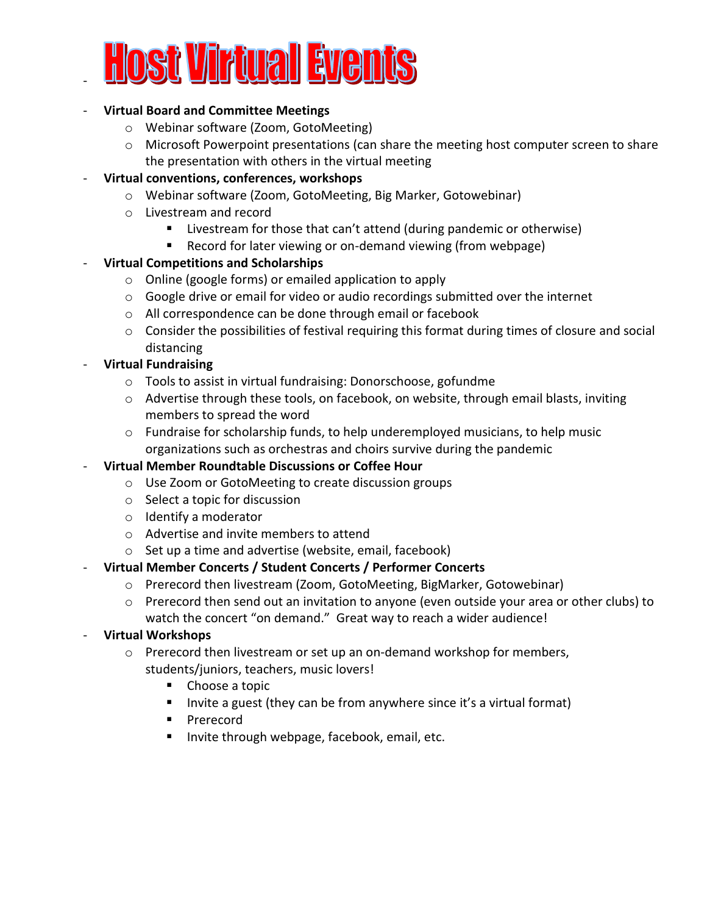

#### - **Virtual Board and Committee Meetings**

- o Webinar software (Zoom, GotoMeeting)
- $\circ$  Microsoft Powerpoint presentations (can share the meeting host computer screen to share the presentation with others in the virtual meeting
- **Virtual conventions, conferences, workshops** 
	- o Webinar software (Zoom, GotoMeeting, Big Marker, Gotowebinar)
	- o Livestream and record
		- **E** Livestream for those that can't attend (during pandemic or otherwise)
		- Record for later viewing or on-demand viewing (from webpage)

## - **Virtual Competitions and Scholarships**

- o Online (google forms) or emailed application to apply
- $\circ$  Google drive or email for video or audio recordings submitted over the internet
- o All correspondence can be done through email or facebook
- $\circ$  Consider the possibilities of festival requiring this format during times of closure and social distancing
- **Virtual Fundraising** 
	- o Tools to assist in virtual fundraising: Donorschoose, gofundme
	- $\circ$  Advertise through these tools, on facebook, on website, through email blasts, inviting members to spread the word
	- $\circ$  Fundraise for scholarship funds, to help underemployed musicians, to help music organizations such as orchestras and choirs survive during the pandemic
- **Virtual Member Roundtable Discussions or Coffee Hour** 
	- o Use Zoom or GotoMeeting to create discussion groups
	- o Select a topic for discussion
	- o Identify a moderator
	- o Advertise and invite members to attend
	- o Set up a time and advertise (website, email, facebook)

## - **Virtual Member Concerts / Student Concerts / Performer Concerts**

- o Prerecord then livestream (Zoom, GotoMeeting, BigMarker, Gotowebinar)
- $\circ$  Prerecord then send out an invitation to anyone (even outside your area or other clubs) to watch the concert "on demand." Great way to reach a wider audience!
- **Virtual Workshops** 
	- $\circ$  Prerecord then livestream or set up an on-demand workshop for members, students/juniors, teachers, music lovers!
		- Choose a topic
		- Invite a guest (they can be from anywhere since it's a virtual format)
		- **Prerecord**
		- **Invite through webpage, facebook, email, etc.**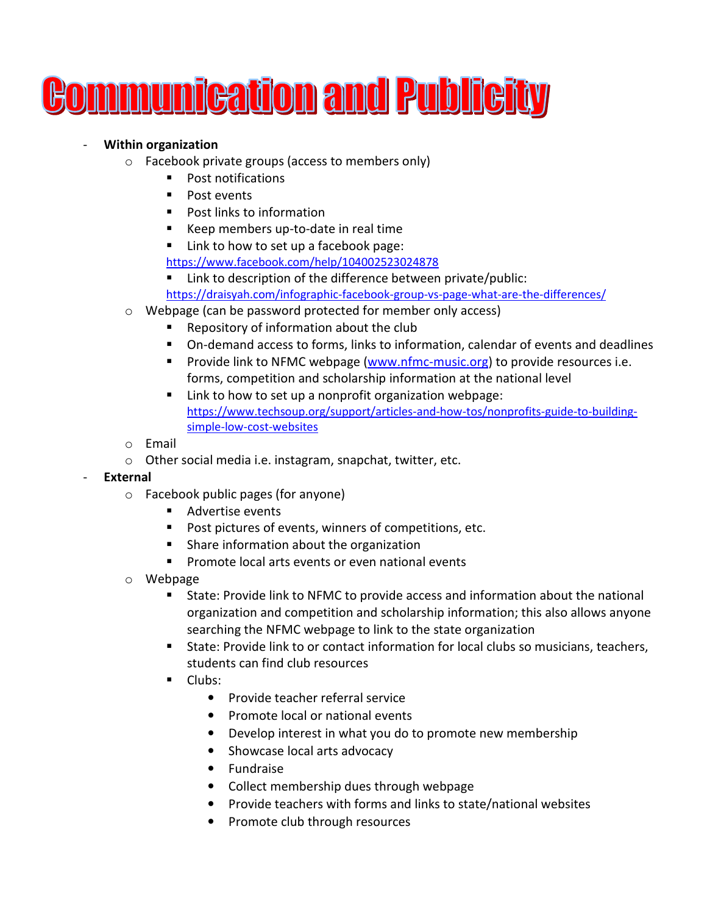

#### - **Within organization**

- o Facebook private groups (access to members only)
	- **Post notifications**
	- **Post events**
	- Post links to information
	- Keep members up-to-date in real time

■ Link to how to set up a facebook page:

https://www.facebook.com/help/104002523024878

- Link to description of the difference between private/public: https://draisyah.com/infographic-facebook-group-vs-page-what-are-the-differences/
- o Webpage (can be password protected for member only access)
	- **Repository of information about the club**
	- On-demand access to forms, links to information, calendar of events and deadlines
	- **Provide link to NFMC webpage (www.nfmc-music.org) to provide resources i.e.** forms, competition and scholarship information at the national level
	- Link to how to set up a nonprofit organization webpage: https://www.techsoup.org/support/articles-and-how-tos/nonprofits-guide-to-buildingsimple-low-cost-websites
- o Email
- o Other social media i.e. instagram, snapchat, twitter, etc.

#### - **External**

- o Facebook public pages (for anyone)
	- Advertise events
	- **Post pictures of events, winners of competitions, etc.**
	- **Share information about the organization**
	- **Promote local arts events or even national events**
- o Webpage
	- State: Provide link to NFMC to provide access and information about the national organization and competition and scholarship information; this also allows anyone searching the NFMC webpage to link to the state organization
	- State: Provide link to or contact information for local clubs so musicians, teachers, students can find club resources
	- **Clubs:** 
		- Provide teacher referral service
		- Promote local or national events
		- Develop interest in what you do to promote new membership
		- Showcase local arts advocacy
		- Fundraise
		- Collect membership dues through webpage
		- Provide teachers with forms and links to state/national websites
		- Promote club through resources